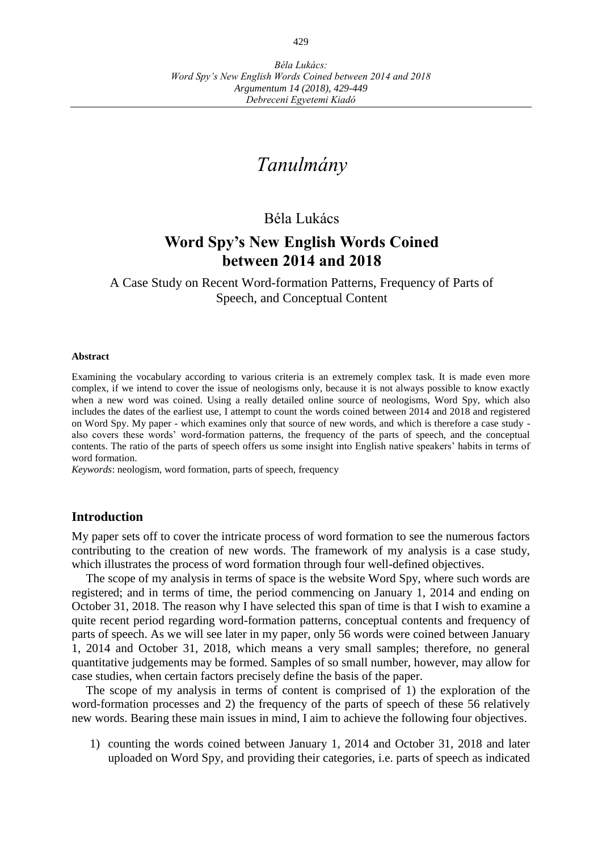# *Tanulmány*

# Béla Lukács

# **Word Spy's New English Words Coined between 2014 and 2018**

A Case Study on Recent Word-formation Patterns, Frequency of Parts of Speech, and Conceptual Content

#### **Abstract**

Examining the vocabulary according to various criteria is an extremely complex task. It is made even more complex, if we intend to cover the issue of neologisms only, because it is not always possible to know exactly when a new word was coined. Using a really detailed online source of neologisms, Word Spy, which also includes the dates of the earliest use, I attempt to count the words coined between 2014 and 2018 and registered on Word Spy. My paper - which examines only that source of new words, and which is therefore a case study also covers these words' word-formation patterns, the frequency of the parts of speech, and the conceptual contents. The ratio of the parts of speech offers us some insight into English native speakers' habits in terms of word formation.

*Keywords*: neologism, word formation, parts of speech, frequency

## **Introduction**

My paper sets off to cover the intricate process of word formation to see the numerous factors contributing to the creation of new words. The framework of my analysis is a case study, which illustrates the process of word formation through four well-defined objectives.

The scope of my analysis in terms of space is the website Word Spy, where such words are registered; and in terms of time, the period commencing on January 1, 2014 and ending on October 31, 2018. The reason why I have selected this span of time is that I wish to examine a quite recent period regarding word-formation patterns, conceptual contents and frequency of parts of speech. As we will see later in my paper, only 56 words were coined between January 1, 2014 and October 31, 2018, which means a very small samples; therefore, no general quantitative judgements may be formed. Samples of so small number, however, may allow for case studies, when certain factors precisely define the basis of the paper.

The scope of my analysis in terms of content is comprised of 1) the exploration of the word-formation processes and 2) the frequency of the parts of speech of these 56 relatively new words. Bearing these main issues in mind, I aim to achieve the following four objectives.

1) counting the words coined between January 1, 2014 and October 31, 2018 and later uploaded on Word Spy, and providing their categories, i.e. parts of speech as indicated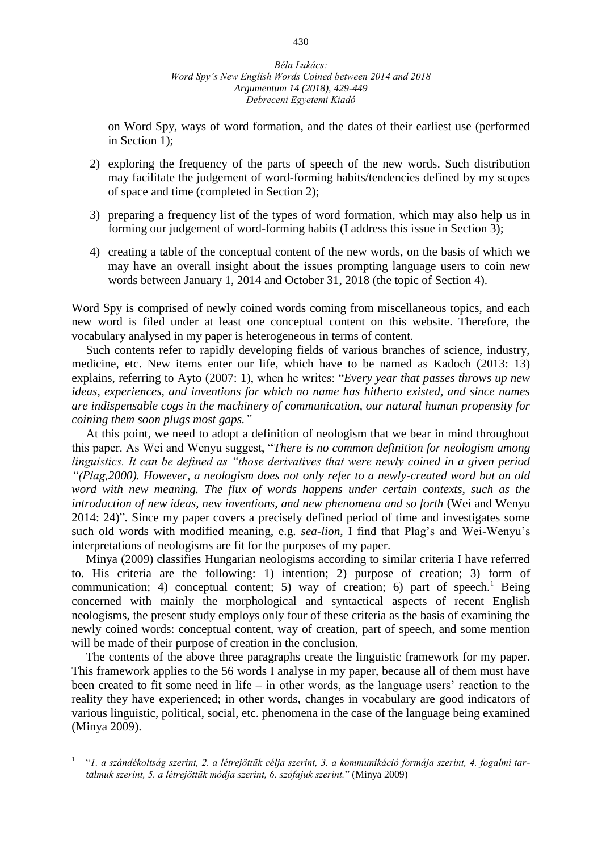on Word Spy, ways of word formation, and the dates of their earliest use (performed in Section 1);

- 2) exploring the frequency of the parts of speech of the new words. Such distribution may facilitate the judgement of word-forming habits/tendencies defined by my scopes of space and time (completed in Section 2);
- 3) preparing a frequency list of the types of word formation, which may also help us in forming our judgement of word-forming habits (I address this issue in Section 3);
- 4) creating a table of the conceptual content of the new words, on the basis of which we may have an overall insight about the issues prompting language users to coin new words between January 1, 2014 and October 31, 2018 (the topic of Section 4).

Word Spy is comprised of newly coined words coming from miscellaneous topics, and each new word is filed under at least one conceptual content on this website. Therefore, the vocabulary analysed in my paper is heterogeneous in terms of content.

Such contents refer to rapidly developing fields of various branches of science, industry, medicine, etc. New items enter our life, which have to be named as Kadoch (2013: 13) explains, referring to Ayto (2007: 1), when he writes: "*Every year that passes throws up new ideas, experiences, and inventions for which no name has hitherto existed, and since names are indispensable cogs in the machinery of communication, our natural human propensity for coining them soon plugs most gaps."*

At this point, we need to adopt a definition of neologism that we bear in mind throughout this paper. As Wei and Wenyu suggest, "*There is no common definition for neologism among linguistics. It can be defined as "those derivatives that were newly coined in a given period "(Plag,2000). However, a neologism does not only refer to a newly-created word but an old word with new meaning. The flux of words happens under certain contexts, such as the introduction of new ideas, new inventions, and new phenomena and so forth* (Wei and Wenyu 2014: 24)"*.* Since my paper covers a precisely defined period of time and investigates some such old words with modified meaning, e.g. *sea-lion,* I find that Plag's and Wei-Wenyu's interpretations of neologisms are fit for the purposes of my paper.

Minya (2009) classifies Hungarian neologisms according to similar criteria I have referred to. His criteria are the following: 1) intention; 2) purpose of creation; 3) form of communication; 4) conceptual content; 5) way of creation; 6) part of speech.<sup>1</sup> Being concerned with mainly the morphological and syntactical aspects of recent English neologisms, the present study employs only four of these criteria as the basis of examining the newly coined words: conceptual content, way of creation, part of speech, and some mention will be made of their purpose of creation in the conclusion.

The contents of the above three paragraphs create the linguistic framework for my paper. This framework applies to the 56 words I analyse in my paper, because all of them must have been created to fit some need in life – in other words, as the language users' reaction to the reality they have experienced; in other words, changes in vocabulary are good indicators of various linguistic, political, social, etc. phenomena in the case of the language being examined (Minya 2009).

 $\overline{a}$ 

<sup>1</sup> "*1. a szándékoltság szerint, 2. a létrejöttük célja szerint, 3. a kommunikáció formája szerint, 4. fogalmi tartalmuk szerint, 5. a létrejöttük módja szerint, 6. szófajuk szerint.*" (Minya 2009)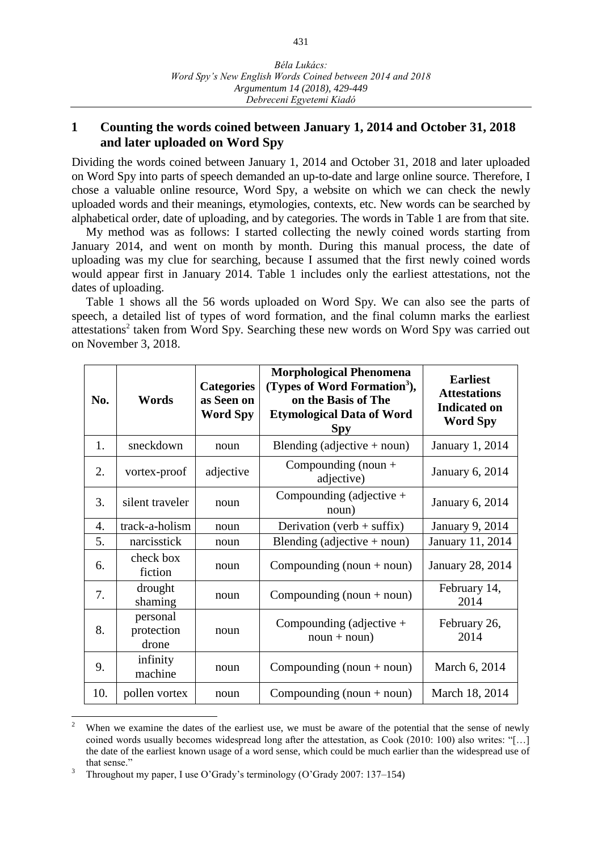## **1 Counting the words coined between January 1, 2014 and October 31, 2018 and later uploaded on Word Spy**

Dividing the words coined between January 1, 2014 and October 31, 2018 and later uploaded on Word Spy into parts of speech demanded an up-to-date and large online source. Therefore, I chose a valuable online resource, Word Spy, a website on which we can check the newly uploaded words and their meanings, etymologies, contexts, etc. New words can be searched by alphabetical order, date of uploading, and by categories. The words in Table 1 are from that site.

My method was as follows: I started collecting the newly coined words starting from January 2014, and went on month by month. During this manual process, the date of uploading was my clue for searching, because I assumed that the first newly coined words would appear first in January 2014. Table 1 includes only the earliest attestations, not the dates of uploading.

Table 1 shows all the 56 words uploaded on Word Spy. We can also see the parts of speech, a detailed list of types of word formation, and the final column marks the earliest attestations<sup>2</sup> taken from Word Spy. Searching these new words on Word Spy was carried out on November 3, 2018.

| No. | Words                           | <b>Categories</b><br>as Seen on<br><b>Word Spy</b> | <b>Morphological Phenomena</b><br>(Types of Word Formation <sup>3</sup> ),<br>on the Basis of The<br><b>Etymological Data of Word</b><br><b>Spy</b> | <b>Earliest</b><br><b>Attestations</b><br><b>Indicated on</b><br><b>Word Spy</b> |
|-----|---------------------------------|----------------------------------------------------|-----------------------------------------------------------------------------------------------------------------------------------------------------|----------------------------------------------------------------------------------|
| 1.  | sneckdown                       | noun                                               | Blending (adjective $+$ noun)                                                                                                                       | January 1, 2014                                                                  |
| 2.  | vortex-proof                    | adjective                                          | Compounding (noun $+$<br>adjective)                                                                                                                 | <b>January 6, 2014</b>                                                           |
| 3.  | silent traveler                 | noun                                               | Compounding (adjective $+$<br>noun)                                                                                                                 | <b>January 6, 2014</b>                                                           |
| 4.  | track-a-holism                  | noun                                               | Derivation (verb + suffix)                                                                                                                          | January 9, 2014                                                                  |
| 5.  | narcisstick                     | noun                                               | Blending (adjective $+$ noun)                                                                                                                       | January 11, 2014                                                                 |
| 6.  | check box<br>fiction            | noun                                               | Compounding $(noun + noun)$                                                                                                                         | <b>January 28, 2014</b>                                                          |
| 7.  | drought<br>shaming              | noun                                               | Compounding $(noun + noun)$                                                                                                                         | February 14,<br>2014                                                             |
| 8.  | personal<br>protection<br>drone | noun                                               | Compounding (adjective $+$<br>$noun + noun)$                                                                                                        | February 26,<br>2014                                                             |
| 9.  | infinity<br>machine             | noun                                               | Compounding $(noun + noun)$                                                                                                                         | March 6, 2014                                                                    |
| 10. | pollen vortex                   | noun                                               | Compounding $(noun + noun)$                                                                                                                         | March 18, 2014                                                                   |

When we examine the dates of the earliest use, we must be aware of the potential that the sense of newly coined words usually becomes widespread long after the attestation, as Cook (2010: 100) also writes: "[…] the date of the earliest known usage of a word sense, which could be much earlier than the widespread use of that sense."

 $\overline{a}$ 

<sup>3</sup> Throughout my paper, I use O'Grady's terminology (O'Grady 2007: 137–154)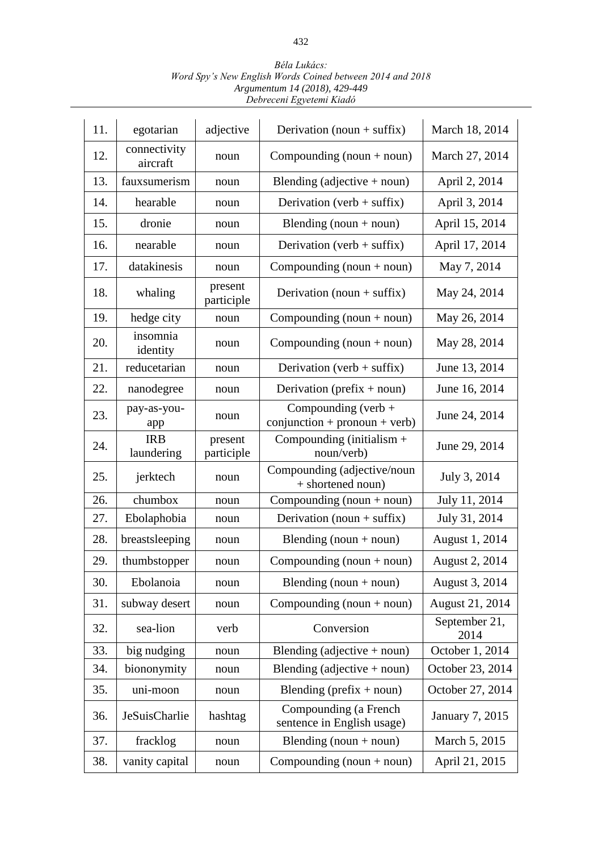| 11. | egotarian                | adjective             | Derivation (noun + suffix)                               | March 18, 2014        |
|-----|--------------------------|-----------------------|----------------------------------------------------------|-----------------------|
| 12. | connectivity<br>aircraft | noun                  | Compounding $(noun + noun)$                              | March 27, 2014        |
| 13. | fauxsumerism             | noun                  | Blending (adjective $+$ noun)                            | April 2, 2014         |
| 14. | hearable                 | noun                  | Derivation (verb + suffix)                               | April 3, 2014         |
| 15. | dronie                   | noun                  | Blending (noun + noun)                                   | April 15, 2014        |
| 16. | nearable                 | noun                  | Derivation (verb + suffix)                               | April 17, 2014        |
| 17. | datakinesis              | noun                  | Compounding $(noun + noun)$                              | May 7, 2014           |
| 18. | whaling                  | present<br>participle | Derivation (noun + suffix)                               | May 24, 2014          |
| 19. | hedge city               | noun                  | Compounding $(noun + noun)$                              | May 26, 2014          |
| 20. | insomnia<br>identity     | noun                  | Compounding $(noun + noun)$                              | May 28, 2014          |
| 21. | reducetarian             | noun                  | Derivation (verb + suffix)                               | June 13, 2014         |
| 22. | nanodegree               | noun                  | Derivation (prefix $+$ noun)                             | June 16, 2014         |
| 23. | pay-as-you-<br>app       | noun                  | Compounding (verb $+$<br>$conjunction + pronoun + verb)$ | June 24, 2014         |
| 24. | <b>IRB</b><br>laundering | present<br>participle | Compounding (initialism $+$<br>noun/verb)                | June 29, 2014         |
| 25. | jerktech                 | noun                  | Compounding (adjective/noun<br>+ shortened noun)         | July 3, 2014          |
| 26. | chumbox                  | noun                  | Compounding $(noun + noun)$                              | July 11, 2014         |
| 27. | Ebolaphobia              | noun                  | Derivation (noun + suffix)                               | July 31, 2014         |
| 28. | breastsleeping           | noun                  | Blending (noun + noun)                                   | August 1, 2014        |
| 29. | thumbstopper             | noun                  | Compounding $(noun + noun)$                              | August 2, 2014        |
| 30. | Ebolanoia                | noun                  | Blending (noun + noun)                                   | August 3, 2014        |
| 31. | subway desert            | noun                  | Compounding $(noun + noun)$                              | August 21, 2014       |
| 32. | sea-lion                 | verb                  | Conversion                                               | September 21,<br>2014 |
| 33. | big nudging              | noun                  | Blending (adjective $+$ noun)                            | October 1, 2014       |
| 34. | biononymity              | noun                  | Blending (adjective $+$ noun)                            | October 23, 2014      |
| 35. | uni-moon                 | noun                  | Blending (prefix $+$ noun)                               | October 27, 2014      |
| 36. | JeSuisCharlie            | hashtag               | Compounding (a French<br>sentence in English usage)      | January 7, 2015       |
| 37. | fracklog                 | noun                  | Blending (noun $+$ noun)                                 | March 5, 2015         |
| 38. | vanity capital           | noun                  | Compounding $(noun + noun)$                              | April 21, 2015        |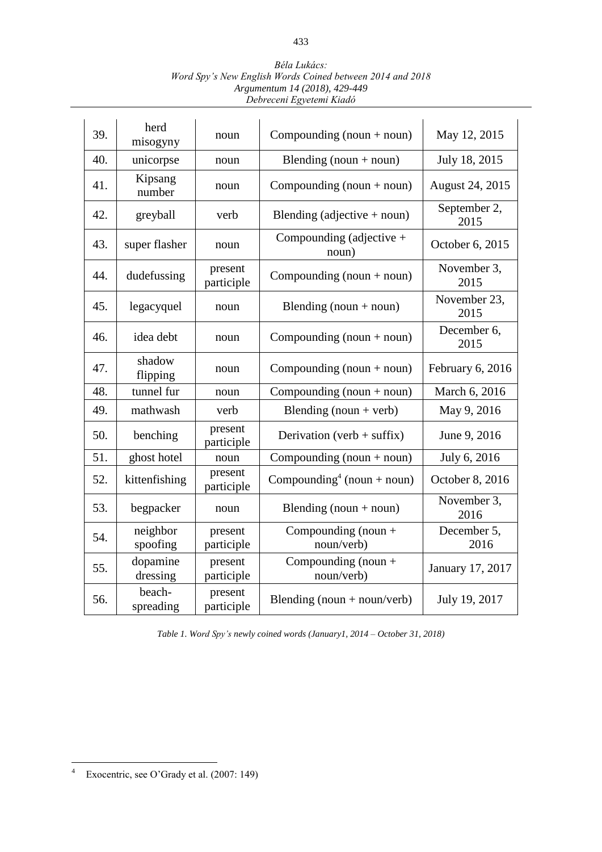| 39. | herd<br>misogyny     | noun                  | Compounding $(noun + noun)$            | May 12, 2015         |
|-----|----------------------|-----------------------|----------------------------------------|----------------------|
| 40. | unicorpse            | noun                  | Blending (noun + noun)                 | July 18, 2015        |
| 41. | Kipsang<br>number    | noun                  | Compounding $(noun + noun)$            | August 24, 2015      |
| 42. | greyball             | verb                  | Blending (adjective $+$ noun)          | September 2,<br>2015 |
| 43. | super flasher        | noun                  | Compounding (adjective $+$<br>noun)    | October 6, 2015      |
| 44. | dudefussing          | present<br>participle | Compounding $(noun + noun)$            | November 3,<br>2015  |
| 45. | legacyquel           | noun                  | Blending (noun $+$ noun)               | November 23,<br>2015 |
| 46. | idea debt            | noun                  | Compounding $(noun + noun)$            | December 6,<br>2015  |
| 47. | shadow<br>flipping   | noun                  | Compounding $(noun + noun)$            | February 6, 2016     |
| 48. | tunnel fur           | noun                  | Compounding $(noun + noun)$            | March 6, 2016        |
| 49. | mathwash             | verb                  | Blending (noun + verb)                 | May 9, 2016          |
| 50. | benching             | present<br>participle | Derivation (verb + suffix)             | June 9, 2016         |
| 51. | ghost hotel          | noun                  | Compounding $(noun + noun)$            | July 6, 2016         |
| 52. | kittenfishing        | present<br>participle | Compounding <sup>4</sup> (noun + noun) | October 8, 2016      |
| 53. | begpacker            | noun                  | Blending (noun $+$ noun)               | November 3,<br>2016  |
| 54. | neighbor<br>spoofing | present<br>participle | Compounding (noun $+$<br>noun/verb)    | December 5,<br>2016  |
| 55. | dopamine<br>dressing | present<br>participle | Compounding (noun $+$<br>noun/verb)    | January 17, 2017     |
| 56. | beach-<br>spreading  | present<br>participle | Blending (noun + noun/verb)            | July 19, 2017        |

*Table 1. Word Spy's newly coined words (January1, 2014 – October 31, 2018)*

 $\overline{4}$ Exocentric, see O'Grady et al. (2007: 149)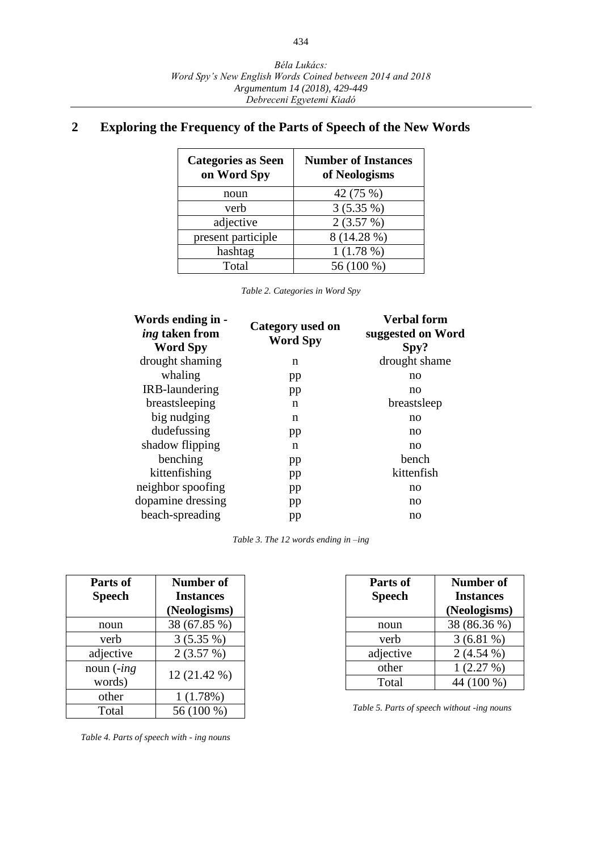# **2 Exploring the Frequency of the Parts of Speech of the New Words**

| <b>Categories as Seen</b><br>on Word Spy | <b>Number of Instances</b><br>of Neologisms |
|------------------------------------------|---------------------------------------------|
| noun                                     | 42 (75 %)                                   |
| verb                                     | 3(5.35%)                                    |
| adjective                                | 2(3.57%)                                    |
| present participle                       | 8 (14.28 %)                                 |
| hashtag                                  | $1(1.78\%)$                                 |
| Total                                    | 56 (100 %)                                  |

*Table 2. Categories in Word Spy*

| Words ending in -<br><i>ing</i> taken from<br><b>Word Spy</b> | Category used on<br><b>Word Spy</b> | <b>Verbal form</b><br>suggested on Word<br>Spy? |
|---------------------------------------------------------------|-------------------------------------|-------------------------------------------------|
| drought shaming                                               | n                                   | drought shame                                   |
| whaling                                                       | pp                                  | no                                              |
| IRB-laundering                                                | pp                                  | no                                              |
| breastsleeping                                                | n                                   | breastsleep                                     |
| big nudging                                                   | n                                   | no                                              |
| dudefussing                                                   | pp                                  | no                                              |
| shadow flipping                                               | n                                   | no                                              |
| benching                                                      | pp                                  | bench                                           |
| kittenfishing                                                 | pp                                  | kittenfish                                      |
| neighbor spoofing                                             | pp                                  | no                                              |
| dopamine dressing                                             | pp                                  | no                                              |
| beach-spreading                                               | pp                                  | no                                              |
|                                                               |                                     |                                                 |

*Table 3. The 12 words ending in –ing*

| Parts of<br><b>Speech</b>          | Number of<br><b>Instances</b><br>(Neologisms) |
|------------------------------------|-----------------------------------------------|
| noun                               | 38 (67.85 %)                                  |
| verb                               | $3(5.35\%)$                                   |
| adjective                          | 2(3.57%)                                      |
| noun $\left(-ing\right)$<br>words) | 12 (21.42 %)                                  |
| other                              | 1(1.78%)                                      |
| Total                              | 56 (100 %)                                    |

 *Table 4. Parts of speech with - ing nouns*

| Parts of<br><b>Speech</b> | <b>Number of</b><br><b>Instances</b><br>(Neologisms) |
|---------------------------|------------------------------------------------------|
| noun                      | 38 (86.36 %)                                         |
| verb                      | $3(6.81\%)$                                          |
| adjective                 | $2(4.54\%)$                                          |
| other                     | 1(2.27%)                                             |
| Total                     | 44 (100 %)                                           |

 *Table 5. Parts of speech without -ing nouns*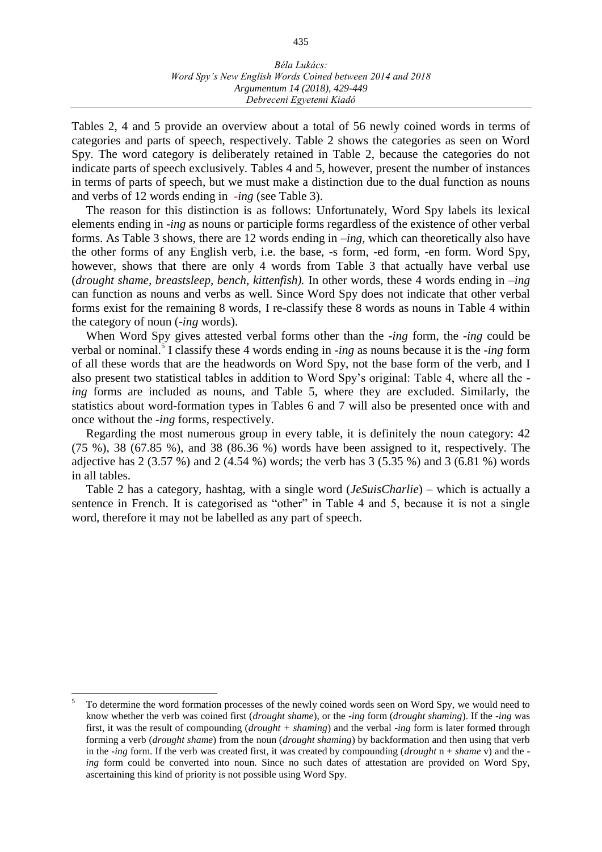Tables 2, 4 and 5 provide an overview about a total of 56 newly coined words in terms of categories and parts of speech, respectively. Table 2 shows the categories as seen on Word Spy. The word category is deliberately retained in Table 2, because the categories do not indicate parts of speech exclusively. Tables 4 and 5, however, present the number of instances in terms of parts of speech, but we must make a distinction due to the dual function as nouns and verbs of 12 words ending in *-ing* (see Table 3).

The reason for this distinction is as follows: Unfortunately, Word Spy labels its lexical elements ending in *-ing* as nouns or participle forms regardless of the existence of other verbal forms. As Table 3 shows, there are 12 words ending in *–ing,* which can theoretically also have the other forms of any English verb, i.e. the base, -s form, -ed form, -en form. Word Spy, however, shows that there are only 4 words from Table 3 that actually have verbal use (*drought shame, breastsleep, bench*, *kittenfish).* In other words, these 4 words ending in *–ing* can function as nouns and verbs as well. Since Word Spy does not indicate that other verbal forms exist for the remaining 8 words, I re-classify these 8 words as nouns in Table 4 within the category of noun (*-ing* words).

When Word Spy gives attested verbal forms other than the -*ing* form, the -*ing* could be verbal or nominal.<sup>5</sup> I classify these 4 words ending in *-ing* as nouns because it is the *-ing* form of all these words that are the headwords on Word Spy, not the base form of the verb, and I also present two statistical tables in addition to Word Spy's original: Table 4, where all the *ing* forms are included as nouns, and Table 5, where they are excluded. Similarly, the statistics about word-formation types in Tables 6 and 7 will also be presented once with and once without the -*ing* forms, respectively.

Regarding the most numerous group in every table, it is definitely the noun category: 42 (75 %), 38 (67.85 %), and 38 (86.36 %) words have been assigned to it, respectively. The adjective has 2 (3.57 %) and 2 (4.54 %) words; the verb has 3 (5.35 %) and 3 (6.81 %) words in all tables.

Table 2 has a category, hashtag, with a single word (*JeSuisCharlie*) – which is actually a sentence in French. It is categorised as "other" in Table 4 and 5, because it is not a single word, therefore it may not be labelled as any part of speech.

 $\overline{a}$ 

<sup>5</sup> To determine the word formation processes of the newly coined words seen on Word Spy, we would need to know whether the verb was coined first (*drought shame*), or the -*ing* form (*drought shaming*). If the -*ing* was first, it was the result of compounding (*drought + shaming*) and the verbal -*ing* form is later formed through forming a verb (*drought shame*) from the noun (*drought shaming*) by backformation and then using that verb in the -*ing* form. If the verb was created first, it was created by compounding (*drought* n + *shame* v) and the *ing* form could be converted into noun. Since no such dates of attestation are provided on Word Spy, ascertaining this kind of priority is not possible using Word Spy.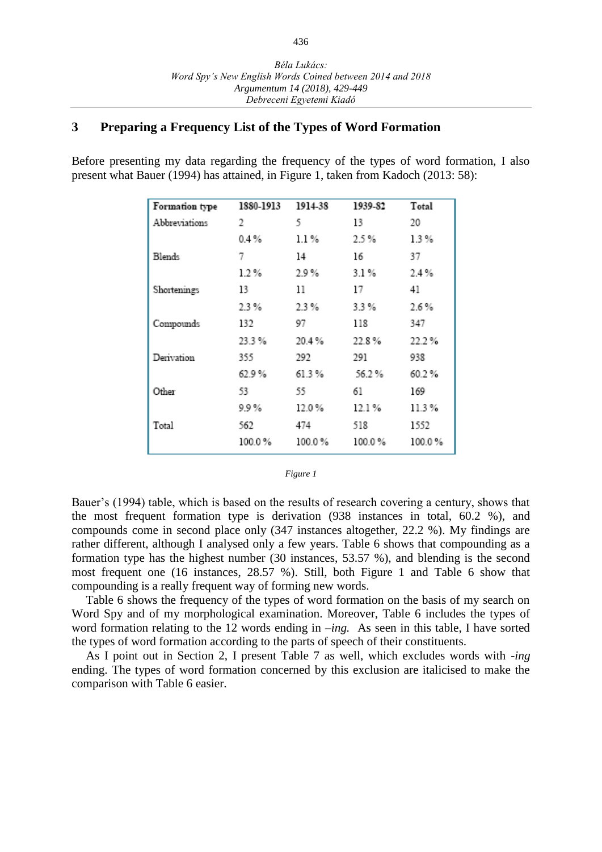## **3 Preparing a Frequency List of the Types of Word Formation**

Before presenting my data regarding the frequency of the types of word formation, I also present what Bauer (1994) has attained, in Figure 1, taken from Kadoch (2013: 58):

| Formation type | 1880-1913 | 1914-38  | 1939-82 | Total   |
|----------------|-----------|----------|---------|---------|
| Abbreviations  | 2         | 5        | 13      | 20      |
|                | $0.4\%$   | $1.1\%$  | 2.5%    | 1.3%    |
| Blends         | 7         | 14       | 16      | 37      |
|                | $1.2\%$   | 2.9%     | 3.1%    | 2.4%    |
| Shortenings    | 13        | 11       | 17      | 41      |
|                | 2.3%      | 2.3%     | 3.3%    | $2.6\%$ |
| Compounds      | 132       | 97       | 118     | 347     |
|                | 23.3%     | 20.4%    | 22.8%   | 22.2%   |
| Derivation     | 355       | 292      | 291     | 938     |
|                | 62.9%     | 61.3%    | 56.2%   | 60.2%   |
| Other          | 53        | 55       | 61      | 169     |
|                | 9.9%      | $12.0\%$ | 12.1 %  | 11.3 %  |
| Total          | 562       | 474      | 518     | 1552    |
|                | 100.0%    | 100.0%   | 100.0%  | 100.0%  |

#### *Figure 1*

Bauer's (1994) table, which is based on the results of research covering a century, shows that the most frequent formation type is derivation (938 instances in total, 60.2 %), and compounds come in second place only (347 instances altogether, 22.2 %). My findings are rather different, although I analysed only a few years. Table 6 shows that compounding as a formation type has the highest number (30 instances, 53.57 %), and blending is the second most frequent one (16 instances, 28.57 %). Still, both Figure 1 and Table 6 show that compounding is a really frequent way of forming new words.

Table 6 shows the frequency of the types of word formation on the basis of my search on Word Spy and of my morphological examination. Moreover, Table 6 includes the types of word formation relating to the 12 words ending in *–ing.* As seen in this table, I have sorted the types of word formation according to the parts of speech of their constituents.

As I point out in Section 2, I present Table 7 as well, which excludes words with *-ing* ending. The types of word formation concerned by this exclusion are italicised to make the comparison with Table 6 easier.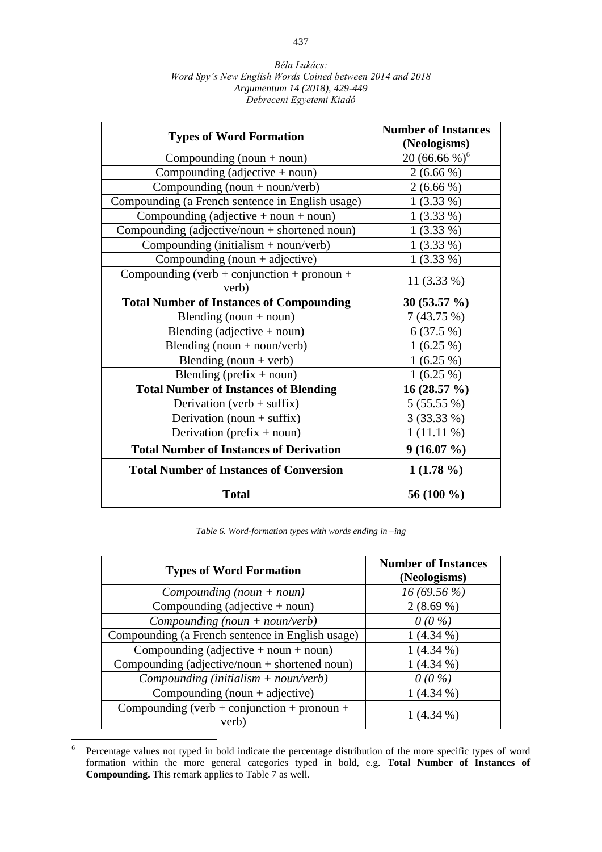| <b>Types of Word Formation</b>                       | <b>Number of Instances</b><br>(Neologisms) |
|------------------------------------------------------|--------------------------------------------|
| Compounding $(noun + noun)$                          | 20 (66.66 %) <sup>6</sup>                  |
| Compounding (adjective $+$ noun)                     | $2(6.66\%)$                                |
| Compounding (noun + noun/verb)                       | $2(6.66\%)$                                |
| Compounding (a French sentence in English usage)     | $1(3.33\%)$                                |
| Compounding (adjective $+$ noun $+$ noun)            | $1(3.33\%)$                                |
| Compounding (adjective/noun + shortened noun)        | $1(3.33\%)$                                |
| Compounding (initialism $+$ noun/verb)               | $1(3.33\%)$                                |
| Compounding $(noun + adjective)$                     | $1(3.33\%)$                                |
| Compounding (verb + conjunction + pronoun +<br>verb) | 11 (3.33 %)                                |
| <b>Total Number of Instances of Compounding</b>      | $30(53.57\%)$                              |
| Blending (noun + noun)                               | 7(43.75%)                                  |
| Blending (adjective $+$ noun)                        | 6(37.5%)                                   |
| Blending $(noun + noun/verb)$                        | $1(6.25\%)$                                |
| Blending $(noun + verb)$                             | $1(6.25\%)$                                |
| Blending (prefix $+$ noun)                           | $1(6.25\%)$                                |
| <b>Total Number of Instances of Blending</b>         | 16 (28.57 %)                               |
| Derivation (verb + suffix)                           | 5(55.55%)                                  |
| Derivation (noun + suffix)                           | 3(33.33%)                                  |
| Derivation (prefix $+$ noun)                         | $1(11.11\%)$                               |
| <b>Total Number of Instances of Derivation</b>       | $9(16.07\%)$                               |
| <b>Total Number of Instances of Conversion</b>       | $1(1.78\%)$                                |
| <b>Total</b>                                         | 56 (100 %)                                 |

*Table 6. Word-formation types with words ending in –ing*

| <b>Types of Word Formation</b>                       | <b>Number of Instances</b><br>(Neologisms) |
|------------------------------------------------------|--------------------------------------------|
| $Compounding (noun + noun)$                          | $16(69.56\%)$                              |
| Compounding (adjective $+$ noun)                     | $2(8.69\%)$                                |
| $Compounding (noun + noun/verb)$                     | $0(0\%)$                                   |
| Compounding (a French sentence in English usage)     | $1(4.34\%)$                                |
| Compounding (adjective $+$ noun $+$ noun)            | $1(4.34\%)$                                |
| Compounding (adjective/noun + shortened noun)        | $1(4.34\%)$                                |
| Compounding (initialism $+$ noun/verb)               | $0(0\%)$                                   |
| Compounding (noun $+$ adjective)                     | $1(4.34\%)$                                |
| Compounding (verb + conjunction + pronoun +<br>verb) | $1(4.34\%)$                                |

 6 Percentage values not typed in bold indicate the percentage distribution of the more specific types of word formation within the more general categories typed in bold, e.g. **Total Number of Instances of Compounding.** This remark applies to Table 7 as well.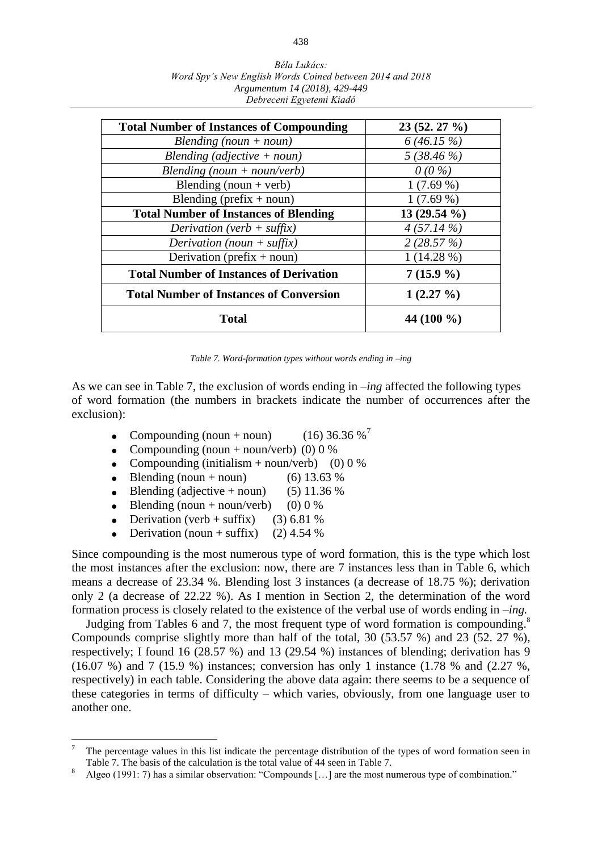| Béla Lukács:                                              |
|-----------------------------------------------------------|
| Word Spy's New English Words Coined between 2014 and 2018 |
| Argumentum 14 (2018), 429-449                             |
| Debreceni Egyetemi Kiadó                                  |

| <b>Total Number of Instances of Compounding</b> | $23(52.27\%)$  |
|-------------------------------------------------|----------------|
| Blending $(noun + noun)$                        | 6(46.15%)      |
| Blending (adjective $+$ noun)                   | 5(38.46%)      |
| Blending (noun + noun/verb)                     | $0(0\%)$       |
| Blending (noun + verb)                          | $1(7.69\%)$    |
| Blending (prefix $+$ noun)                      | $1(7.69\%)$    |
| <b>Total Number of Instances of Blending</b>    | 13 $(29.54\%)$ |
| Derivation (verb + suffix)                      | $4(57.14\%)$   |
| Derivation (noun + suffix)                      | 2(28.57%)      |
| Derivation (prefix $+$ noun)                    | $1(14.28\%)$   |
| <b>Total Number of Instances of Derivation</b>  | $7(15.9\%)$    |
| <b>Total Number of Instances of Conversion</b>  | $1(2.27\%)$    |
| <b>Total</b>                                    | 44 $(100\%$    |

*Table 7. Word-formation types without words ending in –ing*

As we can see in Table 7, the exclusion of words ending in *–ing* affected the following types of word formation (the numbers in brackets indicate the number of occurrences after the exclusion):

- Compounding (noun + noun) (16) 36.36 %'
- Compounding (noun + noun/verb) (0)  $0\%$
- Compounding (initialism + noun/verb) (0) 0 %
- Blending (noun + noun) (6)  $13.63\%$
- $\bullet$  Blending (adjective + noun) (5) 11.36 %
- Blending (noun + noun/verb) (0) 0 %
- Derivation (verb + suffix) (3) 6.81 %
- Derivation (noun + suffix) (2)  $4.54\%$

 $\overline{a}$ 

Since compounding is the most numerous type of word formation, this is the type which lost the most instances after the exclusion: now, there are 7 instances less than in Table 6, which means a decrease of 23.34 %. Blending lost 3 instances (a decrease of 18.75 %); derivation only 2 (a decrease of 22.22 %). As I mention in Section 2, the determination of the word formation process is closely related to the existence of the verbal use of words ending in *–ing.*

Judging from Tables 6 and 7, the most frequent type of word formation is compounding. $^8$ Compounds comprise slightly more than half of the total, 30 (53.57 %) and 23 (52. 27 %), respectively; I found 16 (28.57 %) and 13 (29.54 %) instances of blending; derivation has 9 (16.07 %) and 7 (15.9 %) instances; conversion has only 1 instance (1.78 % and (2.27 %, respectively) in each table. Considering the above data again: there seems to be a sequence of these categories in terms of difficulty – which varies, obviously, from one language user to another one.

<sup>7</sup> The percentage values in this list indicate the percentage distribution of the types of word formation seen in Table 7. The basis of the calculation is the total value of 44 seen in Table 7.

<sup>8</sup> Algeo (1991: 7) has a similar observation: "Compounds […] are the most numerous type of combination."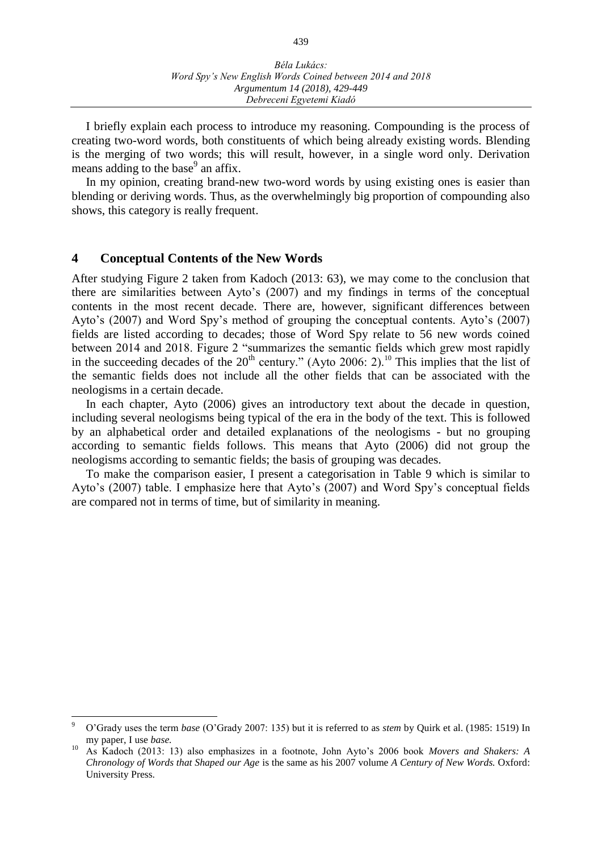I briefly explain each process to introduce my reasoning. Compounding is the process of creating two-word words, both constituents of which being already existing words. Blending is the merging of two words; this will result, however, in a single word only. Derivation means adding to the base<sup>9</sup> an affix.

In my opinion, creating brand-new two-word words by using existing ones is easier than blending or deriving words. Thus, as the overwhelmingly big proportion of compounding also shows, this category is really frequent.

## **4 Conceptual Contents of the New Words**

 $\overline{a}$ 

After studying Figure 2 taken from Kadoch (2013: 63), we may come to the conclusion that there are similarities between Ayto's (2007) and my findings in terms of the conceptual contents in the most recent decade. There are, however, significant differences between Ayto's (2007) and Word Spy's method of grouping the conceptual contents. Ayto's (2007) fields are listed according to decades; those of Word Spy relate to 56 new words coined between 2014 and 2018. Figure 2 "summarizes the semantic fields which grew most rapidly in the succeeding decades of the  $20<sup>th</sup>$  century." (Ayto 2006: 2).<sup>10</sup> This implies that the list of the semantic fields does not include all the other fields that can be associated with the neologisms in a certain decade.

In each chapter, Ayto (2006) gives an introductory text about the decade in question, including several neologisms being typical of the era in the body of the text. This is followed by an alphabetical order and detailed explanations of the neologisms - but no grouping according to semantic fields follows. This means that Ayto (2006) did not group the neologisms according to semantic fields; the basis of grouping was decades.

To make the comparison easier, I present a categorisation in Table 9 which is similar to Ayto's (2007) table. I emphasize here that Ayto's (2007) and Word Spy's conceptual fields are compared not in terms of time, but of similarity in meaning.

<sup>9</sup> O'Grady uses the term *base* (O'Grady 2007: 135) but it is referred to as *stem* by Quirk et al. (1985: 1519) In my paper, I use *base.*

<sup>10</sup> As Kadoch (2013: 13) also emphasizes in a footnote, John Ayto's 2006 book *Movers and Shakers: A Chronology of Words that Shaped our Age* is the same as his 2007 volume *A Century of New Words.* Oxford: University Press.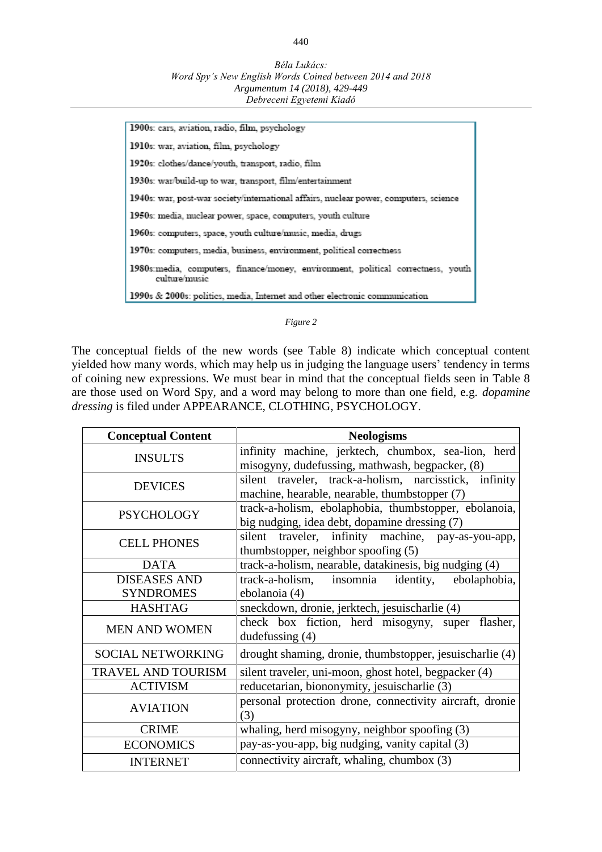1900s: cars, aviation, radio, film, psychology 1910s: war, aviation, film, psychology 1920s: clothes/dance/youth, transport, radio, film 1930s: war/build-up to war, transport, film/entertainment 1940s: war, post-war society/international affairs, nuclear power, computers, science 1950s: media, nuclear power, space, computers, youth culture 1960s: computers, space, youth culture/music, media, drugs 1970s: computers, media, business, environment, political correctness 1980s: media, computers, finance/money, environment, political correctness, youth culture/music 1990s & 2000s: politics, media, Internet and other electronic communication

#### *Figure 2*

The conceptual fields of the new words (see Table 8) indicate which conceptual content yielded how many words, which may help us in judging the language users' tendency in terms of coining new expressions. We must bear in mind that the conceptual fields seen in Table 8 are those used on Word Spy, and a word may belong to more than one field, e.g. *dopamine dressing* is filed under APPEARANCE, CLOTHING, PSYCHOLOGY.

| <b>Conceptual Content</b> | <b>Neologisms</b>                                                                                       |  |
|---------------------------|---------------------------------------------------------------------------------------------------------|--|
| <b>INSULTS</b>            | infinity machine, jerktech, chumbox, sea-lion, herd<br>misogyny, dudefussing, mathwash, begpacker, (8)  |  |
| <b>DEVICES</b>            | silent traveler, track-a-holism, narcisstick, infinity<br>machine, hearable, nearable, thumbstopper (7) |  |
| <b>PSYCHOLOGY</b>         | track-a-holism, ebolaphobia, thumbstopper, ebolanoia,<br>big nudging, idea debt, dopamine dressing (7)  |  |
| <b>CELL PHONES</b>        | silent traveler, infinity machine, pay-as-you-app,<br>thumbstopper, neighbor spoofing (5)               |  |
| <b>DATA</b>               | track-a-holism, nearable, datakinesis, big nudging (4)                                                  |  |
| <b>DISEASES AND</b>       | track-a-holism, insomnia identity,<br>ebolaphobia,                                                      |  |
| <b>SYNDROMES</b>          | ebolanoia (4)                                                                                           |  |
| <b>HASHTAG</b>            | sneckdown, dronie, jerktech, jesuischarlie (4)                                                          |  |
| <b>MEN AND WOMEN</b>      | check box fiction, herd misogyny, super<br>flasher,<br>dudefussing $(4)$                                |  |
| <b>SOCIAL NETWORKING</b>  | drought shaming, dronie, thumbstopper, jesuischarlie (4)                                                |  |
| TRAVEL AND TOURISM        | silent traveler, uni-moon, ghost hotel, begpacker (4)                                                   |  |
| <b>ACTIVISM</b>           | reducetarian, biononymity, jesuischarlie (3)                                                            |  |
| <b>AVIATION</b>           | personal protection drone, connectivity aircraft, dronie<br>(3)                                         |  |
| <b>CRIME</b>              | whaling, herd misogyny, neighbor spoofing (3)                                                           |  |
| <b>ECONOMICS</b>          | pay-as-you-app, big nudging, vanity capital (3)                                                         |  |
| <b>INTERNET</b>           | connectivity aircraft, whaling, chumbox (3)                                                             |  |

#### 440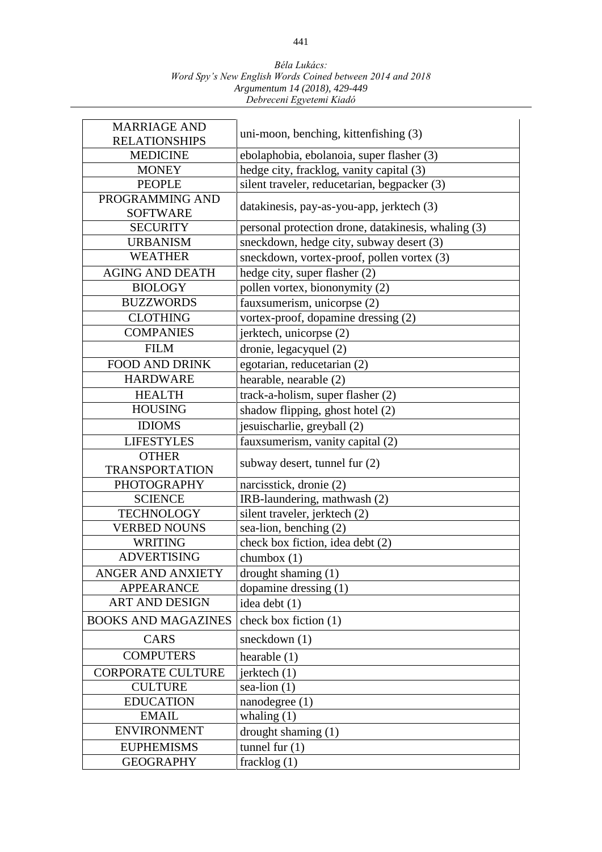| <b>MARRIAGE AND</b><br><b>RELATIONSHIPS</b> | uni-moon, benching, kittenfishing (3)               |  |
|---------------------------------------------|-----------------------------------------------------|--|
| <b>MEDICINE</b>                             | ebolaphobia, ebolanoia, super flasher (3)           |  |
| <b>MONEY</b>                                | hedge city, fracklog, vanity capital (3)            |  |
| <b>PEOPLE</b>                               | silent traveler, reducetarian, begpacker (3)        |  |
| PROGRAMMING AND<br><b>SOFTWARE</b>          | datakinesis, pay-as-you-app, jerktech (3)           |  |
| <b>SECURITY</b>                             | personal protection drone, datakinesis, whaling (3) |  |
| <b>URBANISM</b>                             | sneckdown, hedge city, subway desert (3)            |  |
| <b>WEATHER</b>                              | sneckdown, vortex-proof, pollen vortex (3)          |  |
| <b>AGING AND DEATH</b>                      | hedge city, super flasher (2)                       |  |
| <b>BIOLOGY</b>                              | pollen vortex, biononymity (2)                      |  |
| <b>BUZZWORDS</b>                            | fauxsumerism, unicorpse (2)                         |  |
| <b>CLOTHING</b>                             | vortex-proof, dopamine dressing (2)                 |  |
| <b>COMPANIES</b>                            | jerktech, unicorpse (2)                             |  |
| <b>FILM</b>                                 | dronie, legacyquel (2)                              |  |
| <b>FOOD AND DRINK</b>                       | egotarian, reducetarian (2)                         |  |
| <b>HARDWARE</b>                             | hearable, nearable (2)                              |  |
| <b>HEALTH</b>                               | track-a-holism, super flasher (2)                   |  |
| <b>HOUSING</b>                              | shadow flipping, ghost hotel (2)                    |  |
| <b>IDIOMS</b>                               | jesuischarlie, greyball (2)                         |  |
| <b>LIFESTYLES</b>                           | faux sumerism, vanity capital (2)                   |  |
| <b>OTHER</b>                                |                                                     |  |
| <b>TRANSPORTATION</b>                       | subway desert, tunnel fur (2)                       |  |
| <b>PHOTOGRAPHY</b>                          | narcisstick, dronie (2)                             |  |
| <b>SCIENCE</b>                              | IRB-laundering, mathwash (2)                        |  |
| <b>TECHNOLOGY</b>                           | silent traveler, jerktech (2)                       |  |
| <b>VERBED NOUNS</b>                         | sea-lion, benching (2)                              |  |
| <b>WRITING</b>                              | check box fiction, idea debt (2)                    |  |
| <b>ADVERTISING</b>                          | chumbox (1)                                         |  |
| ANGER AND ANXIETY                           | drought shaming $(1)$                               |  |
| <b>APPEARANCE</b>                           | dopamine dressing $(1)$                             |  |
| <b>ART AND DESIGN</b>                       | idea debt (1)                                       |  |
| <b>BOOKS AND MAGAZINES</b>                  | check box fiction (1)                               |  |
| <b>CARS</b>                                 | sneckdown $(1)$                                     |  |
| <b>COMPUTERS</b>                            | hearable $(1)$                                      |  |
| <b>CORPORATE CULTURE</b>                    | jerktech $(1)$                                      |  |
| <b>CULTURE</b>                              | sea-lion $(1)$                                      |  |
| <b>EDUCATION</b>                            | nanodegree $(1)$                                    |  |
| <b>EMAIL</b>                                | whaling $(1)$                                       |  |
| <b>ENVIRONMENT</b>                          | drought shaming $(1)$                               |  |
| <b>EUPHEMISMS</b>                           | tunnel fur $(1)$                                    |  |
| <b>GEOGRAPHY</b>                            | fracklog $(1)$                                      |  |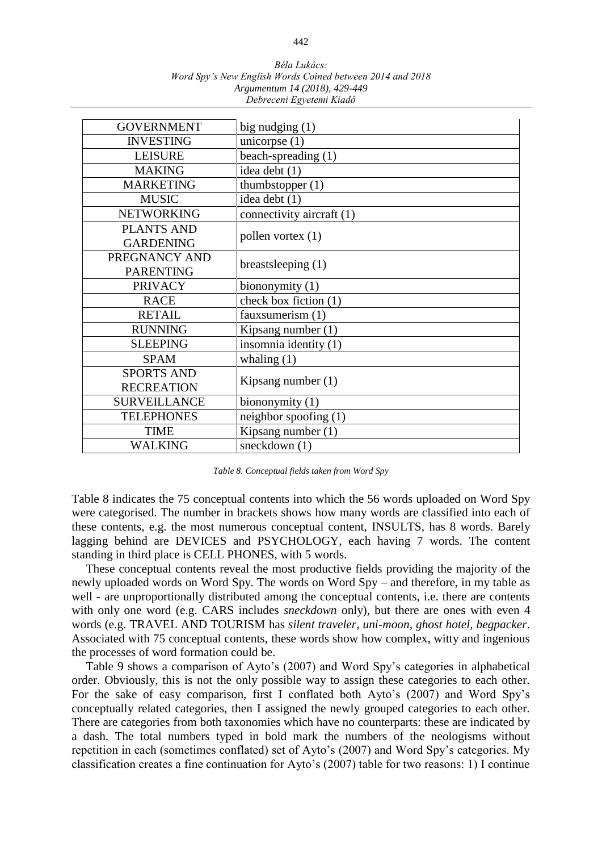| Béla Lukács:                                              |
|-----------------------------------------------------------|
| Word Spy's New English Words Coined between 2014 and 2018 |
| Argumentum 14 (2018), 429-449                             |
| Debreceni Egyetemi Kiadó                                  |

| <b>GOVERNMENT</b>                      | big nudging $(1)$         |
|----------------------------------------|---------------------------|
| <b>INVESTING</b>                       | unicorpse $(1)$           |
| <b>LEISURE</b>                         | beach-spreading (1)       |
| <b>MAKING</b>                          | idea debt (1)             |
| <b>MARKETING</b>                       | thumbstopper (1)          |
| <b>MUSIC</b>                           | idea debt (1)             |
| <b>NETWORKING</b>                      | connectivity aircraft (1) |
| <b>PLANTS AND</b><br><b>GARDENING</b>  | pollen vortex $(1)$       |
| PREGNANCY AND<br><b>PARENTING</b>      | breasts leeping $(1)$     |
| <b>PRIVACY</b>                         | biononymity $(1)$         |
| <b>RACE</b>                            | check box fiction (1)     |
| <b>RETAIL</b>                          | faux sumerism (1)         |
| <b>RUNNING</b>                         | Kipsang number (1)        |
| <b>SLEEPING</b>                        | insomnia identity (1)     |
| <b>SPAM</b>                            | whaling $(1)$             |
| <b>SPORTS AND</b><br><b>RECREATION</b> | Kipsang number $(1)$      |
| <b>SURVEILLANCE</b>                    | biononymity $(1)$         |
| <b>TELEPHONES</b>                      | neighbor spoofing $(1)$   |
| <b>TIME</b>                            | Kipsang number $(1)$      |
| WALKING                                | sneckdown $(1)$           |

*Table 8. Conceptual fields taken from Word Spy*

Table 8 indicates the 75 conceptual contents into which the 56 words uploaded on Word Spy were categorised. The number in brackets shows how many words are classified into each of these contents, e.g. the most numerous conceptual content, INSULTS*,* has 8 words. Barely lagging behind are DEVICES and PSYCHOLOGY, each having 7 words. The content standing in third place is CELL PHONES, with 5 words.

These conceptual contents reveal the most productive fields providing the majority of the newly uploaded words on Word Spy. The words on Word Spy – and therefore, in my table as well - are unproportionally distributed among the conceptual contents, i.e. there are contents with only one word (e.g. CARS includes *sneckdown* only), but there are ones with even 4 words (e.g. TRAVEL AND TOURISM has *silent traveler, uni-moon, ghost hotel, begpacker*. Associated with 75 conceptual contents, these words show how complex, witty and ingenious the processes of word formation could be.

Table 9 shows a comparison of Ayto's (2007) and Word Spy's categories in alphabetical order. Obviously, this is not the only possible way to assign these categories to each other. For the sake of easy comparison, first I conflated both Ayto's (2007) and Word Spy's conceptually related categories, then I assigned the newly grouped categories to each other. There are categories from both taxonomies which have no counterparts: these are indicated by a dash. The total numbers typed in bold mark the numbers of the neologisms without repetition in each (sometimes conflated) set of Ayto's (2007) and Word Spy's categories. My classification creates a fine continuation for Ayto's (2007) table for two reasons: 1) I continue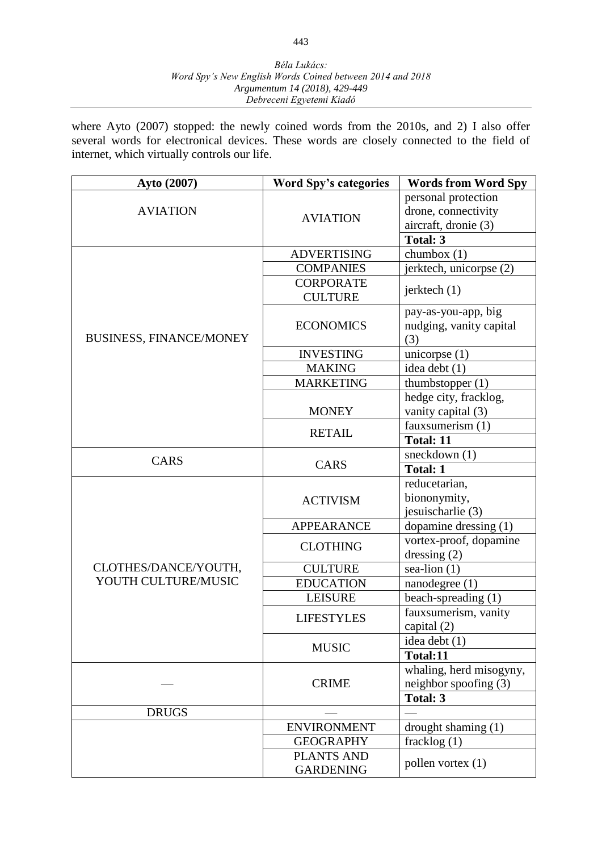where Ayto (2007) stopped: the newly coined words from the 2010s, and 2) I also offer several words for electronical devices. These words are closely connected to the field of internet, which virtually controls our life.

| Ayto (2007)                    | <b>Word Spy's categories</b> | <b>Words from Word Spy</b> |
|--------------------------------|------------------------------|----------------------------|
|                                |                              | personal protection        |
| <b>AVIATION</b>                | <b>AVIATION</b>              | drone, connectivity        |
|                                |                              | aircraft, dronie (3)       |
|                                |                              | Total: 3                   |
|                                | <b>ADVERTISING</b>           | chumbox $(1)$              |
|                                | <b>COMPANIES</b>             | jerktech, unicorpse (2)    |
|                                | <b>CORPORATE</b>             | jerktech (1)               |
|                                | <b>CULTURE</b>               |                            |
|                                |                              | pay-as-you-app, big        |
|                                | <b>ECONOMICS</b>             | nudging, vanity capital    |
| <b>BUSINESS, FINANCE/MONEY</b> |                              | (3)                        |
|                                | <b>INVESTING</b>             | unicorpse $(1)$            |
|                                | <b>MAKING</b>                | idea debt (1)              |
|                                | <b>MARKETING</b>             | thumbstopper $(1)$         |
|                                |                              | hedge city, fracklog,      |
|                                | <b>MONEY</b>                 | vanity capital (3)         |
|                                | <b>RETAIL</b>                | fauxsumerism (1)           |
|                                |                              | <b>Total: 11</b>           |
| CARS                           |                              | sneckdown (1)              |
|                                | <b>CARS</b>                  | <b>Total: 1</b>            |
|                                | <b>ACTIVISM</b>              | reducetarian,              |
|                                |                              | biononymity,               |
|                                |                              | jesuischarlie (3)          |
|                                | <b>APPEARANCE</b>            | dopamine dressing (1)      |
|                                | <b>CLOTHING</b>              | vortex-proof, dopamine     |
|                                |                              | dressing $(2)$             |
| CLOTHES/DANCE/YOUTH,           | <b>CULTURE</b>               | sea-lion $(1)$             |
| YOUTH CULTURE/MUSIC            | <b>EDUCATION</b>             | nanodegree (1)             |
|                                | <b>LEISURE</b>               | beach-spreading (1)        |
|                                | <b>LIFESTYLES</b>            | fauxsumerism, vanity       |
|                                |                              | capital $(2)$              |
|                                | <b>MUSIC</b>                 | idea debt $(1)$            |
|                                |                              | Total:11                   |
|                                | <b>CRIME</b>                 | whaling, herd misogyny,    |
|                                |                              | neighbor spoofing $(3)$    |
|                                |                              | Total: 3                   |
| <b>DRUGS</b>                   |                              |                            |
|                                | <b>ENVIRONMENT</b>           | drought shaming $(1)$      |
|                                | <b>GEOGRAPHY</b>             | fracklog (1)               |
|                                | <b>PLANTS AND</b>            | pollen vortex $(1)$        |
|                                | <b>GARDENING</b>             |                            |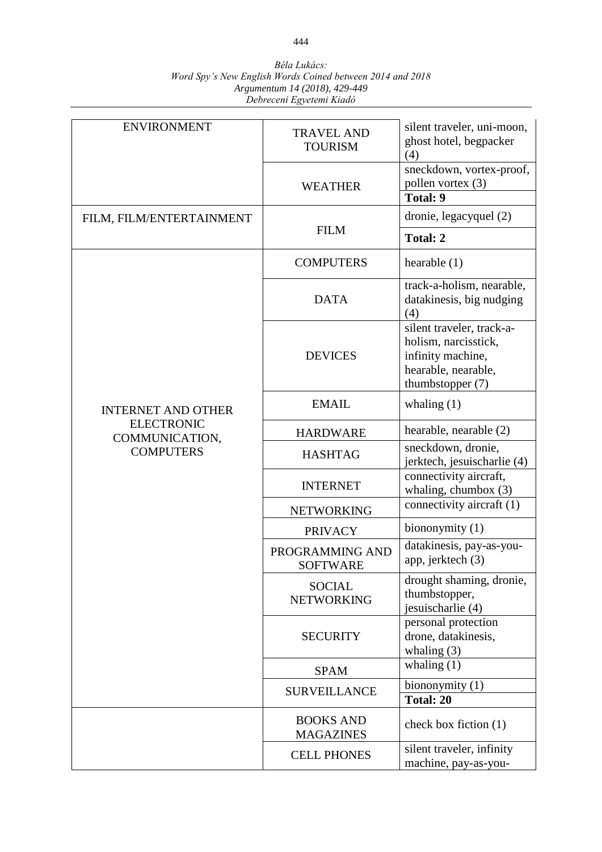| <b>ENVIRONMENT</b>                  | <b>TRAVEL AND</b><br><b>TOURISM</b>  | silent traveler, uni-moon,<br>ghost hotel, begpacker<br>(4)                                                         |
|-------------------------------------|--------------------------------------|---------------------------------------------------------------------------------------------------------------------|
|                                     | <b>WEATHER</b>                       | sneckdown, vortex-proof,<br>pollen vortex (3)<br><b>Total: 9</b>                                                    |
| FILM, FILM/ENTERTAINMENT            |                                      | dronie, legacyquel (2)                                                                                              |
|                                     | <b>FILM</b>                          | Total: 2                                                                                                            |
|                                     | <b>COMPUTERS</b>                     | hearable $(1)$                                                                                                      |
|                                     | <b>DATA</b>                          | track-a-holism, nearable,<br>datakinesis, big nudging<br>(4)                                                        |
|                                     | <b>DEVICES</b>                       | silent traveler, track-a-<br>holism, narcisstick,<br>infinity machine,<br>hearable, nearable,<br>thumbstopper $(7)$ |
| <b>INTERNET AND OTHER</b>           | <b>EMAIL</b>                         | whaling $(1)$                                                                                                       |
| <b>ELECTRONIC</b><br>COMMUNICATION, | <b>HARDWARE</b>                      | hearable, nearable (2)                                                                                              |
| <b>COMPUTERS</b>                    | <b>HASHTAG</b>                       | sneckdown, dronie,<br>jerktech, jesuischarlie (4)                                                                   |
|                                     | <b>INTERNET</b>                      | connectivity aircraft,<br>whaling, chumbox $(3)$                                                                    |
|                                     | <b>NETWORKING</b>                    | connectivity aircraft (1)                                                                                           |
|                                     | <b>PRIVACY</b>                       | biononymity $(1)$                                                                                                   |
|                                     | PROGRAMMING AND<br><b>SOFTWARE</b>   | datakinesis, pay-as-you-<br>app, jerktech (3)                                                                       |
|                                     | <b>SOCIAL</b><br><b>NETWORKING</b>   | drought shaming, dronie,<br>thumbstopper,<br>jesuischarlie (4)                                                      |
|                                     | <b>SECURITY</b>                      | personal protection<br>drone, datakinesis,<br>whaling $(3)$                                                         |
|                                     | <b>SPAM</b>                          | whaling $(1)$                                                                                                       |
|                                     | <b>SURVEILLANCE</b>                  | biononymity (1)                                                                                                     |
|                                     |                                      | Total: 20                                                                                                           |
|                                     | <b>BOOKS AND</b><br><b>MAGAZINES</b> | check box fiction $(1)$                                                                                             |
|                                     | <b>CELL PHONES</b>                   | silent traveler, infinity<br>machine, pay-as-you-                                                                   |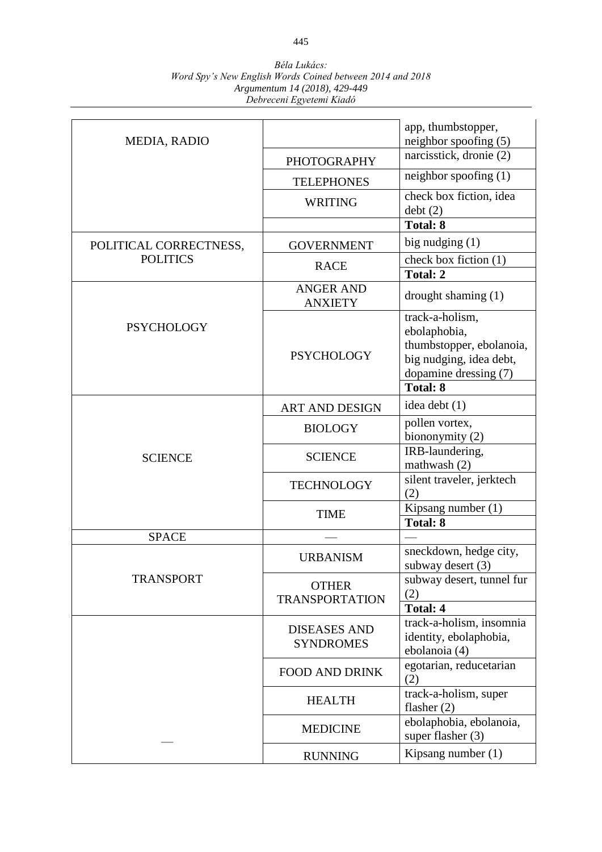| MEDIA, RADIO           |                                         | app, thumbstopper,<br>neighbor spoofing (5)                                                                                        |
|------------------------|-----------------------------------------|------------------------------------------------------------------------------------------------------------------------------------|
|                        | <b>PHOTOGRAPHY</b>                      | narcisstick, dronie (2)                                                                                                            |
|                        | <b>TELEPHONES</b>                       | neighbor spoofing $(1)$                                                                                                            |
|                        | <b>WRITING</b>                          | check box fiction, idea<br>debt(2)                                                                                                 |
|                        |                                         | Total: 8                                                                                                                           |
| POLITICAL CORRECTNESS, | <b>GOVERNMENT</b>                       | big nudging (1)                                                                                                                    |
| <b>POLITICS</b>        | <b>RACE</b>                             | check box fiction (1)<br><b>Total: 2</b>                                                                                           |
|                        | <b>ANGER AND</b><br><b>ANXIETY</b>      | drought shaming $(1)$                                                                                                              |
| <b>PSYCHOLOGY</b>      | <b>PSYCHOLOGY</b>                       | track-a-holism,<br>ebolaphobia,<br>thumbstopper, ebolanoia,<br>big nudging, idea debt,<br>dopamine dressing (7)<br><b>Total: 8</b> |
|                        | <b>ART AND DESIGN</b>                   | idea debt (1)                                                                                                                      |
|                        | <b>BIOLOGY</b>                          | pollen vortex,<br>biononymity (2)                                                                                                  |
| <b>SCIENCE</b>         | <b>SCIENCE</b>                          | IRB-laundering,<br>mathwash (2)                                                                                                    |
|                        | <b>TECHNOLOGY</b>                       | silent traveler, jerktech<br>(2)                                                                                                   |
|                        | <b>TIME</b>                             | Kipsang number (1)<br><b>Total: 8</b>                                                                                              |
| <b>SPACE</b>           |                                         |                                                                                                                                    |
|                        | <b>URBANISM</b>                         | sneckdown, hedge city,<br>subway desert (3)                                                                                        |
| <b>TRANSPORT</b>       | <b>OTHER</b><br><b>TRANSPORTATION</b>   | subway desert, tunnel fur<br>(2)<br><b>Total: 4</b>                                                                                |
|                        | <b>DISEASES AND</b><br><b>SYNDROMES</b> | track-a-holism, insomnia<br>identity, ebolaphobia,<br>ebolanoia (4)                                                                |
|                        | <b>FOOD AND DRINK</b>                   | egotarian, reducetarian<br>(2)                                                                                                     |
|                        | <b>HEALTH</b>                           | track-a-holism, super<br>flasher $(2)$                                                                                             |
|                        | <b>MEDICINE</b>                         | ebolaphobia, ebolanoia,<br>super flasher (3)                                                                                       |
|                        | <b>RUNNING</b>                          | Kipsang number (1)                                                                                                                 |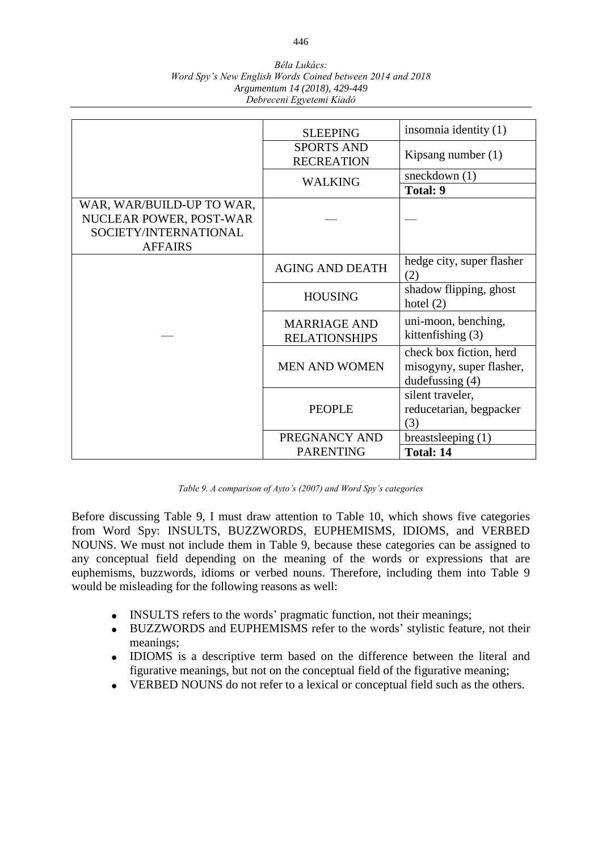| Béla Lukács:                                              |
|-----------------------------------------------------------|
| Word Spy's New English Words Coined between 2014 and 2018 |
| Argumentum 14 (2018), 429-449                             |
| Debreceni Egyetemi Kiadó                                  |

|                                                                                                 | <b>SLEEPING</b>                             | insomnia identity (1)                                                  |
|-------------------------------------------------------------------------------------------------|---------------------------------------------|------------------------------------------------------------------------|
|                                                                                                 | <b>SPORTS AND</b><br><b>RECREATION</b>      | Kipsang number $(1)$                                                   |
|                                                                                                 | <b>WALKING</b>                              | sneckdown $(1)$                                                        |
|                                                                                                 |                                             | Total: 9                                                               |
| WAR, WAR/BUILD-UP TO WAR,<br>NUCLEAR POWER, POST-WAR<br>SOCIETY/INTERNATIONAL<br><b>AFFAIRS</b> |                                             |                                                                        |
|                                                                                                 | <b>AGING AND DEATH</b>                      | hedge city, super flasher<br>(2)                                       |
|                                                                                                 | <b>HOUSING</b>                              | shadow flipping, ghost<br>hotel $(2)$                                  |
|                                                                                                 | <b>MARRIAGE AND</b><br><b>RELATIONSHIPS</b> | uni-moon, benching,<br>kitten fishing $(3)$                            |
|                                                                                                 | <b>MEN AND WOMEN</b>                        | check box fiction, herd<br>misogyny, super flasher,<br>dudefussing (4) |
|                                                                                                 | <b>PEOPLE</b>                               | silent traveler,<br>reducetarian, begpacker<br>(3)                     |
|                                                                                                 | PREGNANCY AND                               | breastsleeping $(1)$                                                   |
|                                                                                                 | <b>PARENTING</b>                            | <b>Total: 14</b>                                                       |

*Table 9. A comparison of Ayto's (2007) and Word Spy's categories*

Before discussing Table 9, I must draw attention to Table 10, which shows five categories from Word Spy: INSULTS, BUZZWORDS, EUPHEMISMS, IDIOMS, and VERBED NOUNS. We must not include them in Table 9, because these categories can be assigned to any conceptual field depending on the meaning of the words or expressions that are euphemisms, buzzwords, idioms or verbed nouns. Therefore, including them into Table 9 would be misleading for the following reasons as well:

- INSULTS refers to the words' pragmatic function, not their meanings;
- BUZZWORDS and EUPHEMISMS refer to the words' stylistic feature, not their meanings;
- IDIOMS is a descriptive term based on the difference between the literal and figurative meanings, but not on the conceptual field of the figurative meaning;
- VERBED NOUNS do not refer to a lexical or conceptual field such as the others.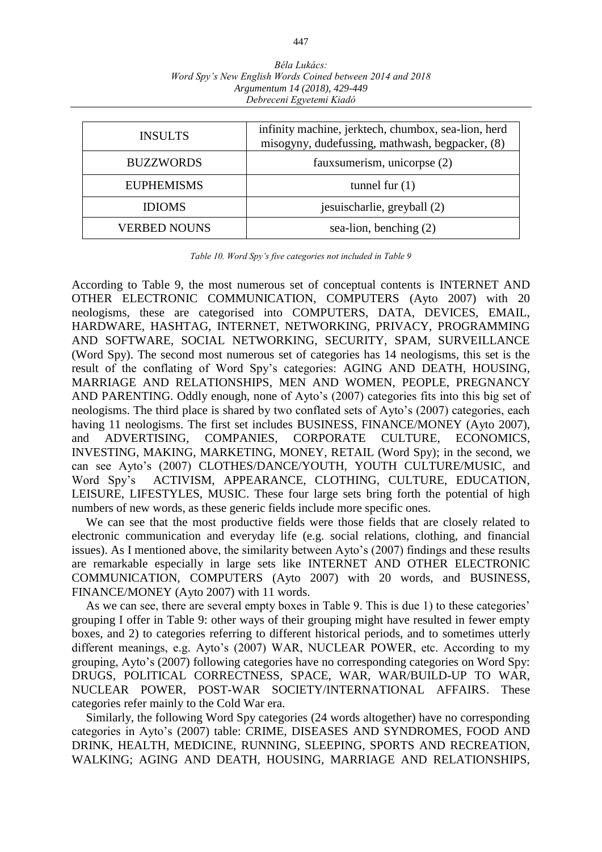| <b>INSULTS</b>      | infinity machine, jerktech, chumbox, sea-lion, herd<br>misogyny, dudefussing, mathwash, begpacker, (8) |  |
|---------------------|--------------------------------------------------------------------------------------------------------|--|
| <b>BUZZWORDS</b>    | faux sumerism, unicorpse (2)                                                                           |  |
| <b>EUPHEMISMS</b>   | tunnel fur $(1)$                                                                                       |  |
| <b>IDIOMS</b>       | jesuischarlie, greyball (2)                                                                            |  |
| <b>VERBED NOUNS</b> | sea-lion, benching $(2)$                                                                               |  |

*Table 10. Word Spy's five categories not included in Table 9*

According to Table 9, the most numerous set of conceptual contents is INTERNET AND OTHER ELECTRONIC COMMUNICATION, COMPUTERS (Ayto 2007) with 20 neologisms, these are categorised into COMPUTERS, DATA, DEVICES, EMAIL, HARDWARE, HASHTAG, INTERNET, NETWORKING, PRIVACY, PROGRAMMING AND SOFTWARE, SOCIAL NETWORKING, SECURITY, SPAM, SURVEILLANCE (Word Spy). The second most numerous set of categories has 14 neologisms, this set is the result of the conflating of Word Spy's categories: AGING AND DEATH, HOUSING, MARRIAGE AND RELATIONSHIPS, MEN AND WOMEN, PEOPLE, PREGNANCY AND PARENTING. Oddly enough, none of Ayto's (2007) categories fits into this big set of neologisms. The third place is shared by two conflated sets of Ayto's (2007) categories, each having 11 neologisms. The first set includes BUSINESS, FINANCE/MONEY (Ayto 2007), and ADVERTISING, COMPANIES, CORPORATE CULTURE, ECONOMICS, INVESTING, MAKING, MARKETING, MONEY, RETAIL (Word Spy); in the second, we can see Ayto's (2007) CLOTHES/DANCE/YOUTH, YOUTH CULTURE/MUSIC, and Word Spy's ACTIVISM, APPEARANCE, CLOTHING, CULTURE, EDUCATION, LEISURE, LIFESTYLES, MUSIC. These four large sets bring forth the potential of high numbers of new words, as these generic fields include more specific ones.

We can see that the most productive fields were those fields that are closely related to electronic communication and everyday life (e.g. social relations, clothing, and financial issues). As I mentioned above, the similarity between Ayto's (2007) findings and these results are remarkable especially in large sets like INTERNET AND OTHER ELECTRONIC COMMUNICATION, COMPUTERS (Ayto 2007) with 20 words, and BUSINESS, FINANCE/MONEY (Ayto 2007) with 11 words.

As we can see, there are several empty boxes in Table 9. This is due 1) to these categories' grouping I offer in Table 9: other ways of their grouping might have resulted in fewer empty boxes, and 2) to categories referring to different historical periods, and to sometimes utterly different meanings, e.g. Ayto's (2007) WAR, NUCLEAR POWER, etc. According to my grouping, Ayto's (2007) following categories have no corresponding categories on Word Spy: DRUGS, POLITICAL CORRECTNESS, SPACE, WAR, WAR/BUILD-UP TO WAR, NUCLEAR POWER, POST-WAR SOCIETY/INTERNATIONAL AFFAIRS. These categories refer mainly to the Cold War era.

Similarly, the following Word Spy categories (24 words altogether) have no corresponding categories in Ayto's (2007) table: CRIME, DISEASES AND SYNDROMES, FOOD AND DRINK, HEALTH, MEDICINE, RUNNING, SLEEPING, SPORTS AND RECREATION, WALKING; AGING AND DEATH, HOUSING, MARRIAGE AND RELATIONSHIPS,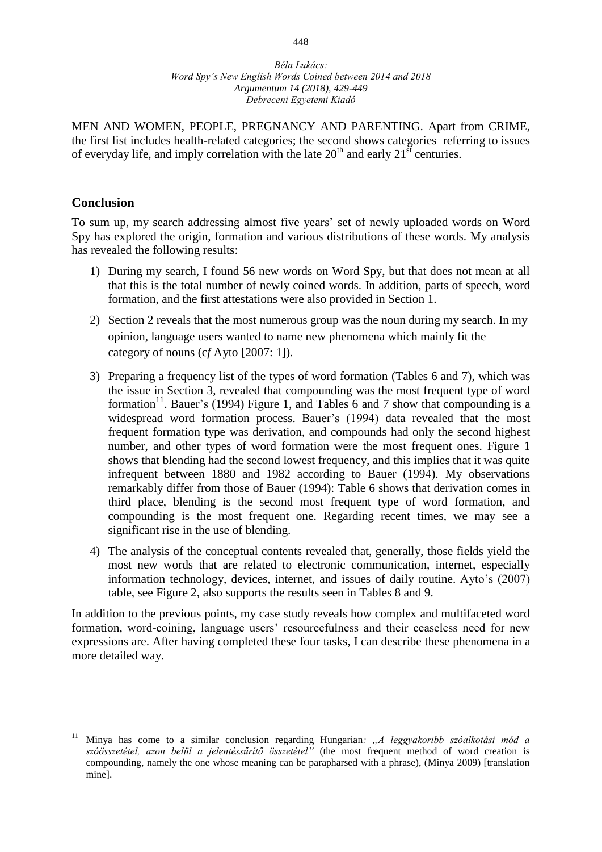MEN AND WOMEN, PEOPLE, PREGNANCY AND PARENTING. Apart from CRIME, the first list includes health-related categories; the second shows categories referring to issues of everyday life, and imply correlation with the late  $20<sup>th</sup>$  and early  $21<sup>st</sup>$  centuries.

## **Conclusion**

 $\overline{a}$ 

To sum up, my search addressing almost five years' set of newly uploaded words on Word Spy has explored the origin, formation and various distributions of these words. My analysis has revealed the following results:

- 1) During my search, I found 56 new words on Word Spy, but that does not mean at all that this is the total number of newly coined words. In addition, parts of speech, word formation, and the first attestations were also provided in Section 1.
- 2) Section 2 reveals that the most numerous group was the noun during my search. In my opinion, language users wanted to name new phenomena which mainly fit the category of nouns (c*f* Ayto [2007: 1]).
- 3) Preparing a frequency list of the types of word formation (Tables 6 and 7), which was the issue in Section 3, revealed that compounding was the most frequent type of word formation<sup>11</sup>. Bauer's (1994) Figure 1, and Tables 6 and 7 show that compounding is a widespread word formation process. Bauer's (1994) data revealed that the most frequent formation type was derivation, and compounds had only the second highest number, and other types of word formation were the most frequent ones. Figure 1 shows that blending had the second lowest frequency, and this implies that it was quite infrequent between 1880 and 1982 according to Bauer (1994). My observations remarkably differ from those of Bauer (1994): Table 6 shows that derivation comes in third place, blending is the second most frequent type of word formation, and compounding is the most frequent one. Regarding recent times, we may see a significant rise in the use of blending.
- 4) The analysis of the conceptual contents revealed that, generally, those fields yield the most new words that are related to electronic communication, internet, especially information technology, devices, internet, and issues of daily routine. Ayto's (2007) table, see Figure 2, also supports the results seen in Tables 8 and 9.

In addition to the previous points, my case study reveals how complex and multifaceted word formation, word-coining, language users' resourcefulness and their ceaseless need for new expressions are. After having completed these four tasks, I can describe these phenomena in a more detailed way.

<sup>11</sup> Minya has come to a similar conclusion regarding Hungarian*: "A leggyakoribb szóalkotási mód a szóösszetétel, azon belül a jelentéssűrítő összetétel"* (the most frequent method of word creation is compounding, namely the one whose meaning can be parapharsed with a phrase), (Minya 2009) [translation mine].